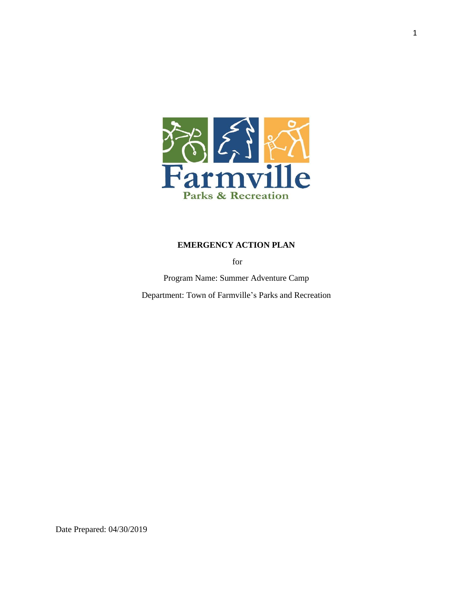

# **EMERGENCY ACTION PLAN**

for

Program Name: Summer Adventure Camp Department: Town of Farmville's Parks and Recreation

Date Prepared: 04/30/2019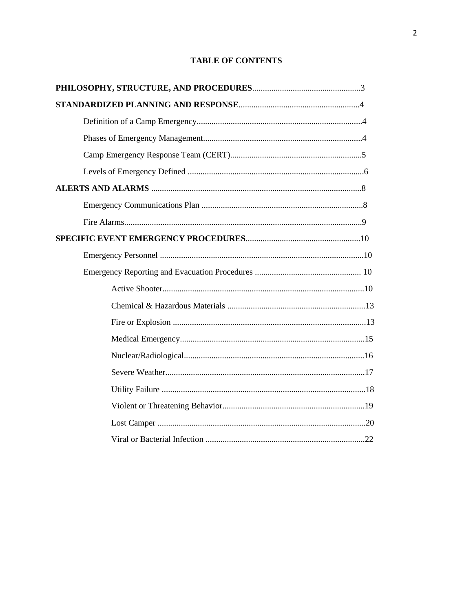# **TABLE OF CONTENTS**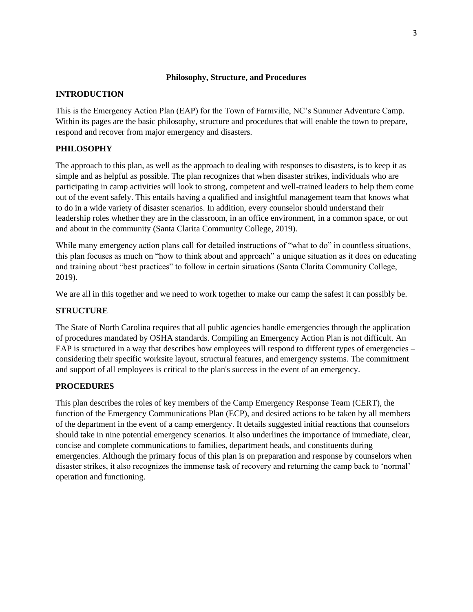#### **Philosophy, Structure, and Procedures**

### **INTRODUCTION**

This is the Emergency Action Plan (EAP) for the Town of Farmville, NC's Summer Adventure Camp. Within its pages are the basic philosophy, structure and procedures that will enable the town to prepare, respond and recover from major emergency and disasters.

## **PHILOSOPHY**

The approach to this plan, as well as the approach to dealing with responses to disasters, is to keep it as simple and as helpful as possible. The plan recognizes that when disaster strikes, individuals who are participating in camp activities will look to strong, competent and well-trained leaders to help them come out of the event safely. This entails having a qualified and insightful management team that knows what to do in a wide variety of disaster scenarios. In addition, every counselor should understand their leadership roles whether they are in the classroom, in an office environment, in a common space, or out and about in the community (Santa Clarita Community College, 2019).

While many emergency action plans call for detailed instructions of "what to do" in countless situations, this plan focuses as much on "how to think about and approach" a unique situation as it does on educating and training about "best practices" to follow in certain situations (Santa Clarita Community College, 2019).

We are all in this together and we need to work together to make our camp the safest it can possibly be.

### **STRUCTURE**

The State of North Carolina requires that all public agencies handle emergencies through the application of procedures mandated by OSHA standards. Compiling an Emergency Action Plan is not difficult. An EAP is structured in a way that describes how employees will respond to different types of emergencies – considering their specific worksite layout, structural features, and emergency systems. The commitment and support of all employees is critical to the plan's success in the event of an emergency.

#### **PROCEDURES**

This plan describes the roles of key members of the Camp Emergency Response Team (CERT), the function of the Emergency Communications Plan (ECP), and desired actions to be taken by all members of the department in the event of a camp emergency. It details suggested initial reactions that counselors should take in nine potential emergency scenarios. It also underlines the importance of immediate, clear, concise and complete communications to families, department heads, and constituents during emergencies. Although the primary focus of this plan is on preparation and response by counselors when disaster strikes, it also recognizes the immense task of recovery and returning the camp back to 'normal' operation and functioning.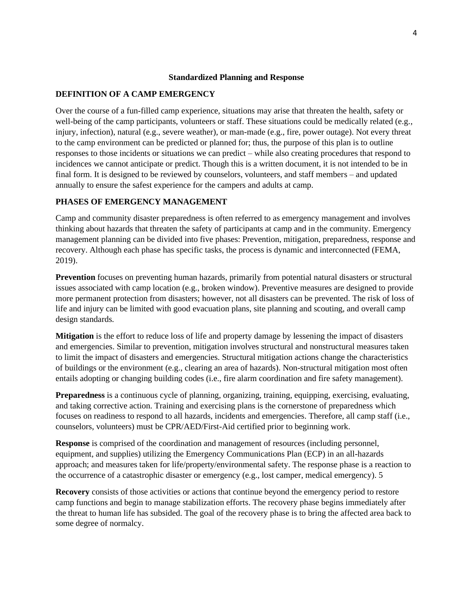#### **Standardized Planning and Response**

#### **DEFINITION OF A CAMP EMERGENCY**

Over the course of a fun-filled camp experience, situations may arise that threaten the health, safety or well-being of the camp participants, volunteers or staff. These situations could be medically related (e.g., injury, infection), natural (e.g., severe weather), or man-made (e.g., fire, power outage). Not every threat to the camp environment can be predicted or planned for; thus, the purpose of this plan is to outline responses to those incidents or situations we can predict – while also creating procedures that respond to incidences we cannot anticipate or predict. Though this is a written document, it is not intended to be in final form. It is designed to be reviewed by counselors, volunteers, and staff members – and updated annually to ensure the safest experience for the campers and adults at camp.

#### **PHASES OF EMERGENCY MANAGEMENT**

Camp and community disaster preparedness is often referred to as emergency management and involves thinking about hazards that threaten the safety of participants at camp and in the community. Emergency management planning can be divided into five phases: Prevention, mitigation, preparedness, response and recovery. Although each phase has specific tasks, the process is dynamic and interconnected (FEMA, 2019).

**Prevention** focuses on preventing human hazards, primarily from potential natural disasters or structural issues associated with camp location (e.g., broken window). Preventive measures are designed to provide more permanent protection from disasters; however, not all disasters can be prevented. The risk of loss of life and injury can be limited with good evacuation plans, site planning and scouting, and overall camp design standards.

**Mitigation** is the effort to reduce loss of life and property damage by lessening the impact of disasters and emergencies. Similar to prevention, mitigation involves structural and nonstructural measures taken to limit the impact of disasters and emergencies. Structural mitigation actions change the characteristics of buildings or the environment (e.g., clearing an area of hazards). Non-structural mitigation most often entails adopting or changing building codes (i.e., fire alarm coordination and fire safety management).

**Preparedness** is a continuous cycle of planning, organizing, training, equipping, exercising, evaluating, and taking corrective action. Training and exercising plans is the cornerstone of preparedness which focuses on readiness to respond to all hazards, incidents and emergencies. Therefore, all camp staff (i.e., counselors, volunteers) must be CPR/AED/First-Aid certified prior to beginning work.

**Response** is comprised of the coordination and management of resources (including personnel, equipment, and supplies) utilizing the Emergency Communications Plan (ECP) in an all-hazards approach; and measures taken for life/property/environmental safety. The response phase is a reaction to the occurrence of a catastrophic disaster or emergency (e.g., lost camper, medical emergency). 5

**Recovery** consists of those activities or actions that continue beyond the emergency period to restore camp functions and begin to manage stabilization efforts. The recovery phase begins immediately after the threat to human life has subsided. The goal of the recovery phase is to bring the affected area back to some degree of normalcy.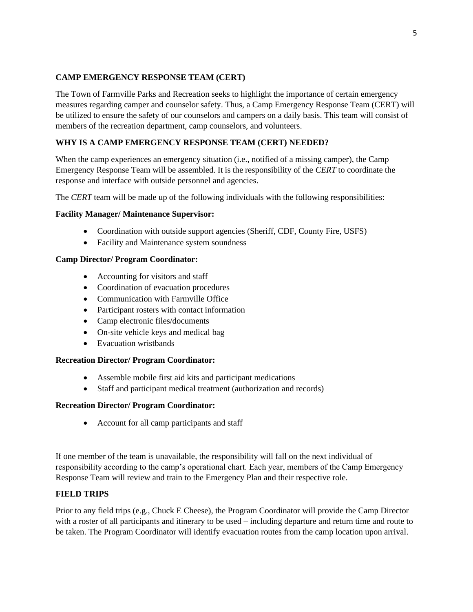## **CAMP EMERGENCY RESPONSE TEAM (CERT)**

The Town of Farmville Parks and Recreation seeks to highlight the importance of certain emergency measures regarding camper and counselor safety. Thus, a Camp Emergency Response Team (CERT) will be utilized to ensure the safety of our counselors and campers on a daily basis. This team will consist of members of the recreation department, camp counselors, and volunteers.

# **WHY IS A CAMP EMERGENCY RESPONSE TEAM (CERT) NEEDED?**

When the camp experiences an emergency situation (i.e., notified of a missing camper), the Camp Emergency Response Team will be assembled. It is the responsibility of the *CERT* to coordinate the response and interface with outside personnel and agencies.

The *CERT* team will be made up of the following individuals with the following responsibilities:

## **Facility Manager/ Maintenance Supervisor:**

- Coordination with outside support agencies (Sheriff, CDF, County Fire, USFS)
- Facility and Maintenance system soundness

## **Camp Director/ Program Coordinator:**

- Accounting for visitors and staff
- Coordination of evacuation procedures
- Communication with Farmville Office
- Participant rosters with contact information
- Camp electronic files/documents
- On-site vehicle keys and medical bag
- Evacuation wristbands

### **Recreation Director/ Program Coordinator:**

- Assemble mobile first aid kits and participant medications
- Staff and participant medical treatment (authorization and records)

### **Recreation Director/ Program Coordinator:**

• Account for all camp participants and staff

If one member of the team is unavailable, the responsibility will fall on the next individual of responsibility according to the camp's operational chart. Each year, members of the Camp Emergency Response Team will review and train to the Emergency Plan and their respective role.

## **FIELD TRIPS**

Prior to any field trips (e.g., Chuck E Cheese), the Program Coordinator will provide the Camp Director with a roster of all participants and itinerary to be used – including departure and return time and route to be taken. The Program Coordinator will identify evacuation routes from the camp location upon arrival.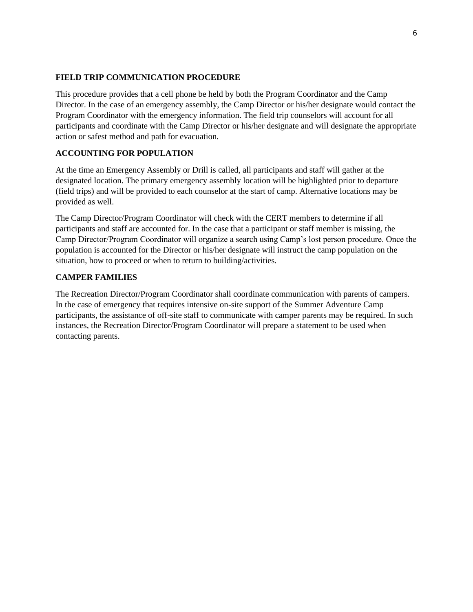### **FIELD TRIP COMMUNICATION PROCEDURE**

This procedure provides that a cell phone be held by both the Program Coordinator and the Camp Director. In the case of an emergency assembly, the Camp Director or his/her designate would contact the Program Coordinator with the emergency information. The field trip counselors will account for all participants and coordinate with the Camp Director or his/her designate and will designate the appropriate action or safest method and path for evacuation.

# **ACCOUNTING FOR POPULATION**

At the time an Emergency Assembly or Drill is called, all participants and staff will gather at the designated location. The primary emergency assembly location will be highlighted prior to departure (field trips) and will be provided to each counselor at the start of camp. Alternative locations may be provided as well.

The Camp Director/Program Coordinator will check with the CERT members to determine if all participants and staff are accounted for. In the case that a participant or staff member is missing, the Camp Director/Program Coordinator will organize a search using Camp's lost person procedure. Once the population is accounted for the Director or his/her designate will instruct the camp population on the situation, how to proceed or when to return to building/activities.

## **CAMPER FAMILIES**

The Recreation Director/Program Coordinator shall coordinate communication with parents of campers. In the case of emergency that requires intensive on-site support of the Summer Adventure Camp participants, the assistance of off-site staff to communicate with camper parents may be required. In such instances, the Recreation Director/Program Coordinator will prepare a statement to be used when contacting parents.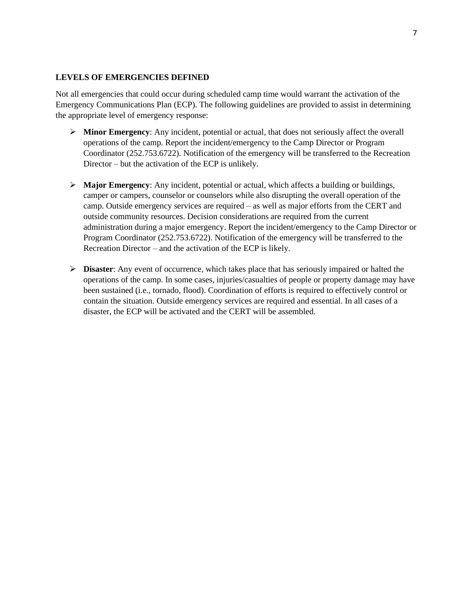#### **LEVELS OF EMERGENCIES DEFINED**

Not all emergencies that could occur during scheduled camp time would warrant the activation of the Emergency Communications Plan (ECP). The following guidelines are provided to assist in determining the appropriate level of emergency response:

- ➢ **Minor Emergency**: Any incident, potential or actual, that does not seriously affect the overall operations of the camp. Report the incident/emergency to the Camp Director or Program Coordinator (252.753.6722). Notification of the emergency will be transferred to the Recreation Director – but the activation of the ECP is unlikely.
- ➢ **Major Emergency**: Any incident, potential or actual, which affects a building or buildings, camper or campers, counselor or counselors while also disrupting the overall operation of the camp. Outside emergency services are required – as well as major efforts from the CERT and outside community resources. Decision considerations are required from the current administration during a major emergency. Report the incident/emergency to the Camp Director or Program Coordinator (252.753.6722). Notification of the emergency will be transferred to the Recreation Director – and the activation of the ECP is likely.
- ➢ **Disaster**: Any event of occurrence, which takes place that has seriously impaired or halted the operations of the camp. In some cases, injuries/casualties of people or property damage may have been sustained (i.e., tornado, flood). Coordination of efforts is required to effectively control or contain the situation. Outside emergency services are required and essential. In all cases of a disaster, the ECP will be activated and the CERT will be assembled.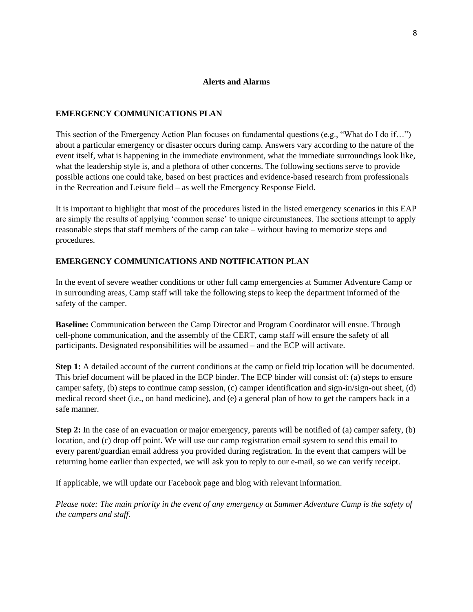#### **Alerts and Alarms**

#### **EMERGENCY COMMUNICATIONS PLAN**

This section of the Emergency Action Plan focuses on fundamental questions (e.g., "What do I do if…") about a particular emergency or disaster occurs during camp. Answers vary according to the nature of the event itself, what is happening in the immediate environment, what the immediate surroundings look like, what the leadership style is, and a plethora of other concerns. The following sections serve to provide possible actions one could take, based on best practices and evidence-based research from professionals in the Recreation and Leisure field – as well the Emergency Response Field.

It is important to highlight that most of the procedures listed in the listed emergency scenarios in this EAP are simply the results of applying 'common sense' to unique circumstances. The sections attempt to apply reasonable steps that staff members of the camp can take – without having to memorize steps and procedures.

## **EMERGENCY COMMUNICATIONS AND NOTIFICATION PLAN**

In the event of severe weather conditions or other full camp emergencies at Summer Adventure Camp or in surrounding areas, Camp staff will take the following steps to keep the department informed of the safety of the camper.

**Baseline:** Communication between the Camp Director and Program Coordinator will ensue. Through cell-phone communication, and the assembly of the CERT, camp staff will ensure the safety of all participants. Designated responsibilities will be assumed – and the ECP will activate.

**Step 1:** A detailed account of the current conditions at the camp or field trip location will be documented. This brief document will be placed in the ECP binder. The ECP binder will consist of: (a) steps to ensure camper safety, (b) steps to continue camp session, (c) camper identification and sign-in/sign-out sheet, (d) medical record sheet (i.e., on hand medicine), and (e) a general plan of how to get the campers back in a safe manner.

**Step 2:** In the case of an evacuation or major emergency, parents will be notified of (a) camper safety, (b) location, and (c) drop off point. We will use our camp registration email system to send this email to every parent/guardian email address you provided during registration. In the event that campers will be returning home earlier than expected, we will ask you to reply to our e-mail, so we can verify receipt.

If applicable, we will update our Facebook page and blog with relevant information.

*Please note: The main priority in the event of any emergency at Summer Adventure Camp is the safety of the campers and staff.*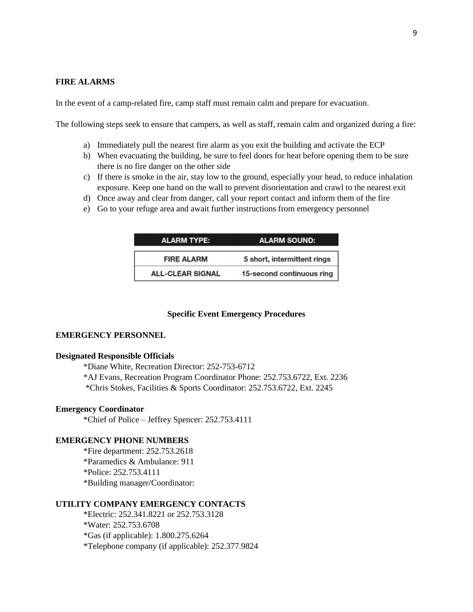#### **FIRE ALARMS**

In the event of a camp-related fire, camp staff must remain calm and prepare for evacuation.

The following steps seek to ensure that campers, as well as staff, remain calm and organized during a fire:

- a) Immediately pull the nearest fire alarm as you exit the building and activate the ECP
- b) When evacuating the building, be sure to feel doors for heat before opening them to be sure there is no fire danger on the other side
- c) If there is smoke in the air, stay low to the ground, especially your head, to reduce inhalation exposure. Keep one hand on the wall to prevent disorientation and crawl to the nearest exit
- d) Once away and clear from danger, call your report contact and inform them of the fire
- e) Go to your refuge area and await further instructions from emergency personnel

| <b>ALARM TYPE:</b>      | <b>ALARM SOUND:</b>         |
|-------------------------|-----------------------------|
| <b>FIRE ALARM</b>       | 5 short, intermittent rings |
| <b>ALL-CLEAR SIGNAL</b> | 15-second continuous ring   |

### **Specific Event Emergency Procedures**

#### **EMERGENCY PERSONNEL**

#### **Designated Responsible Officials**

\*Diane White, Recreation Director: 252-753-6712 \*AJ Evans, Recreation Program Coordinator Phone: 252.753.6722, Ext. 2236 \*Chris Stokes, Facilities & Sports Coordinator: 252.753.6722, Ext. 2245

#### **Emergency Coordinator**

\*Chief of Police – Jeffrey Spencer: 252.753.4111

#### **EMERGENCY PHONE NUMBERS**

\*Fire department: 252.753.2618 \*Paramedics & Ambulance: 911 \*Police: 252.753.4111 \*Building manager/Coordinator:

#### **UTILITY COMPANY EMERGENCY CONTACTS**

\*Electric: 252.341.8221 or 252.753.3128 \*Water: 252.753.6708 \*Gas (if applicable): 1.800.275.6264 \*Telephone company (if applicable): 252.377.9824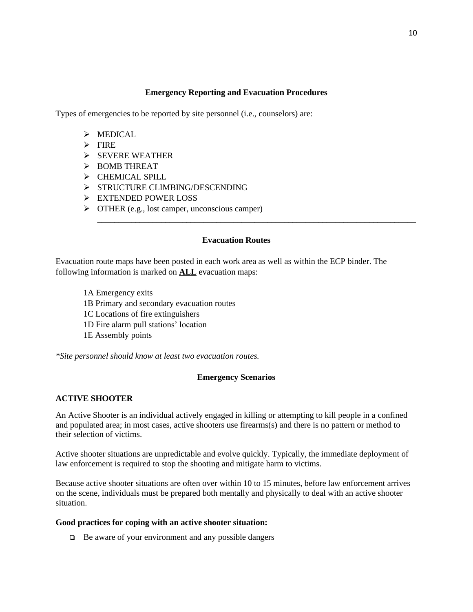#### **Emergency Reporting and Evacuation Procedures**

Types of emergencies to be reported by site personnel (i.e., counselors) are:

- ➢ MEDICAL
- ➢ FIRE
- ➢ SEVERE WEATHER
- ➢ BOMB THREAT
- ➢ CHEMICAL SPILL
- ➢ STRUCTURE CLIMBING/DESCENDING
- ➢ EXTENDED POWER LOSS
- ➢ OTHER (e.g., lost camper, unconscious camper)

## **Evacuation Routes**

\_\_\_\_\_\_\_\_\_\_\_\_\_\_\_\_\_\_\_\_\_\_\_\_\_\_\_\_\_\_\_\_\_\_\_\_\_\_\_\_\_\_\_\_\_\_\_\_\_\_\_\_\_\_\_\_\_\_\_\_\_\_\_\_\_\_\_\_\_\_\_\_\_\_\_

Evacuation route maps have been posted in each work area as well as within the ECP binder. The following information is marked on **ALL** evacuation maps:

1A Emergency exits 1B Primary and secondary evacuation routes 1C Locations of fire extinguishers 1D Fire alarm pull stations' location 1E Assembly points

*\*Site personnel should know at least two evacuation routes.*

#### **Emergency Scenarios**

#### **ACTIVE SHOOTER**

An Active Shooter is an individual actively engaged in killing or attempting to kill people in a confined and populated area; in most cases, active shooters use firearms(s) and there is no pattern or method to their selection of victims.

Active shooter situations are unpredictable and evolve quickly. Typically, the immediate deployment of law enforcement is required to stop the shooting and mitigate harm to victims.

Because active shooter situations are often over within 10 to 15 minutes, before law enforcement arrives on the scene, individuals must be prepared both mentally and physically to deal with an active shooter situation.

#### **Good practices for coping with an active shooter situation:**

❑ Be aware of your environment and any possible dangers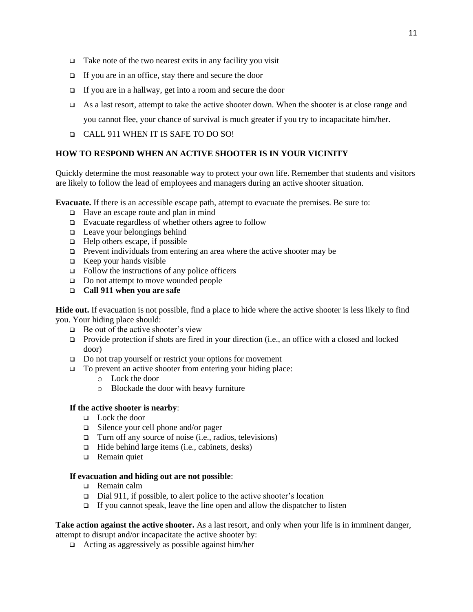- $\Box$  Take note of the two nearest exits in any facility you visit
- ❑ If you are in an office, stay there and secure the door
- ❑ If you are in a hallway, get into a room and secure the door
- ❑ As a last resort, attempt to take the active shooter down. When the shooter is at close range and

you cannot flee, your chance of survival is much greater if you try to incapacitate him/her.

❑ CALL 911 WHEN IT IS SAFE TO DO SO!

### **HOW TO RESPOND WHEN AN ACTIVE SHOOTER IS IN YOUR VICINITY**

Quickly determine the most reasonable way to protect your own life. Remember that students and visitors are likely to follow the lead of employees and managers during an active shooter situation.

**Evacuate.** If there is an accessible escape path, attempt to evacuate the premises. Be sure to:

- ❑ Have an escape route and plan in mind
- ❑ Evacuate regardless of whether others agree to follow
- ❑ Leave your belongings behind
- ❑ Help others escape, if possible
- ❑ Prevent individuals from entering an area where the active shooter may be
- ❑ Keep your hands visible
- $\Box$  Follow the instructions of any police officers
- ❑ Do not attempt to move wounded people
- ❑ **Call 911 when you are safe**

**Hide out.** If evacuation is not possible, find a place to hide where the active shooter is less likely to find you. Your hiding place should:

- ❑ Be out of the active shooter's view
- ❑ Provide protection if shots are fired in your direction (i.e., an office with a closed and locked door)
- ❑ Do not trap yourself or restrict your options for movement
- ❑ To prevent an active shooter from entering your hiding place:
	- o Lock the door
	- o Blockade the door with heavy furniture

#### **If the active shooter is nearby**:

- ❑ Lock the door
- ❑ Silence your cell phone and/or pager
- ❑ Turn off any source of noise (i.e., radios, televisions)
- ❑ Hide behind large items (i.e., cabinets, desks)
- ❑ Remain quiet

### **If evacuation and hiding out are not possible**:

- ❑ Remain calm
- ❑ Dial 911, if possible, to alert police to the active shooter's location
- ❑ If you cannot speak, leave the line open and allow the dispatcher to listen

**Take action against the active shooter.** As a last resort, and only when your life is in imminent danger,

attempt to disrupt and/or incapacitate the active shooter by:

❑ Acting as aggressively as possible against him/her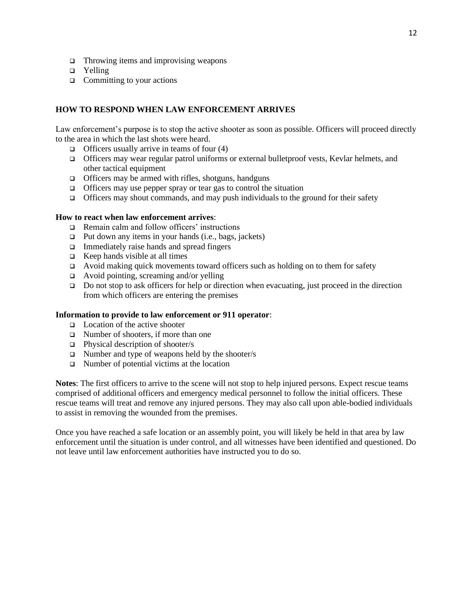- ❑ Throwing items and improvising weapons
- ❑ Yelling
- $\Box$  Committing to your actions

### **HOW TO RESPOND WHEN LAW ENFORCEMENT ARRIVES**

Law enforcement's purpose is to stop the active shooter as soon as possible. Officers will proceed directly to the area in which the last shots were heard.

- $\Box$  Officers usually arrive in teams of four (4)
- ❑ Officers may wear regular patrol uniforms or external bulletproof vests, Kevlar helmets, and other tactical equipment
- ❑ Officers may be armed with rifles, shotguns, handguns
- ❑ Officers may use pepper spray or tear gas to control the situation
- $\Box$  Officers may shout commands, and may push individuals to the ground for their safety

### **How to react when law enforcement arrives**:

- ❑ Remain calm and follow officers' instructions
- $\Box$  Put down any items in your hands (i.e., bags, jackets)
- ❑ Immediately raise hands and spread fingers
- $\Box$  Keep hands visible at all times
- $\Box$  Avoid making quick movements toward officers such as holding on to them for safety
- ❑ Avoid pointing, screaming and/or yelling
- $\Box$  Do not stop to ask officers for help or direction when evacuating, just proceed in the direction from which officers are entering the premises

#### **Information to provide to law enforcement or 911 operator**:

- ❑ Location of the active shooter
- ❑ Number of shooters, if more than one
- ❑ Physical description of shooter/s
- ❑ Number and type of weapons held by the shooter/s
- ❑ Number of potential victims at the location

**Notes**: The first officers to arrive to the scene will not stop to help injured persons. Expect rescue teams comprised of additional officers and emergency medical personnel to follow the initial officers. These rescue teams will treat and remove any injured persons. They may also call upon able-bodied individuals to assist in removing the wounded from the premises.

Once you have reached a safe location or an assembly point, you will likely be held in that area by law enforcement until the situation is under control, and all witnesses have been identified and questioned. Do not leave until law enforcement authorities have instructed you to do so.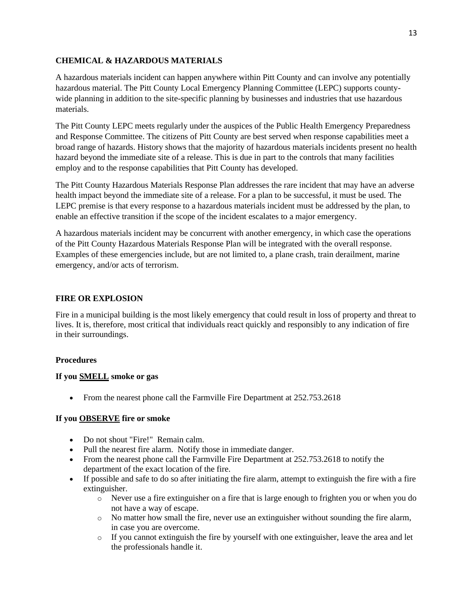## **CHEMICAL & HAZARDOUS MATERIALS**

A hazardous materials incident can happen anywhere within Pitt County and can involve any potentially hazardous material. The Pitt County Local Emergency Planning Committee (LEPC) supports countywide planning in addition to the site-specific planning by businesses and industries that use hazardous materials.

The Pitt County LEPC meets regularly under the auspices of the Public Health Emergency Preparedness and Response Committee. The citizens of Pitt County are best served when response capabilities meet a broad range of hazards. History shows that the majority of hazardous materials incidents present no health hazard beyond the immediate site of a release. This is due in part to the controls that many facilities employ and to the response capabilities that Pitt County has developed.

The Pitt County Hazardous Materials Response Plan addresses the rare incident that may have an adverse health impact beyond the immediate site of a release. For a plan to be successful, it must be used. The LEPC premise is that every response to a hazardous materials incident must be addressed by the plan, to enable an effective transition if the scope of the incident escalates to a major emergency.

A hazardous materials incident may be concurrent with another emergency, in which case the operations of the Pitt County Hazardous Materials Response Plan will be integrated with the overall response. Examples of these emergencies include, but are not limited to, a plane crash, train derailment, marine emergency, and/or acts of terrorism.

## **FIRE OR EXPLOSION**

Fire in a municipal building is the most likely emergency that could result in loss of property and threat to lives. It is, therefore, most critical that individuals react quickly and responsibly to any indication of fire in their surroundings.

# **Procedures**

# **If you SMELL smoke or gas**

• From the nearest phone call the Farmville Fire Department at 252.753.2618

# **If you OBSERVE fire or smoke**

- Do not shout "Fire!" Remain calm.
- Pull the nearest fire alarm. Notify those in immediate danger.
- From the nearest phone call the Farmville Fire Department at 252.753.2618 to notify the department of the exact location of the fire.
- If possible and safe to do so after initiating the fire alarm, attempt to extinguish the fire with a fire extinguisher.
	- $\circ$  Never use a fire extinguisher on a fire that is large enough to frighten you or when you do not have a way of escape.
	- o No matter how small the fire, never use an extinguisher without sounding the fire alarm, in case you are overcome.
	- $\circ$  If you cannot extinguish the fire by yourself with one extinguisher, leave the area and let the professionals handle it.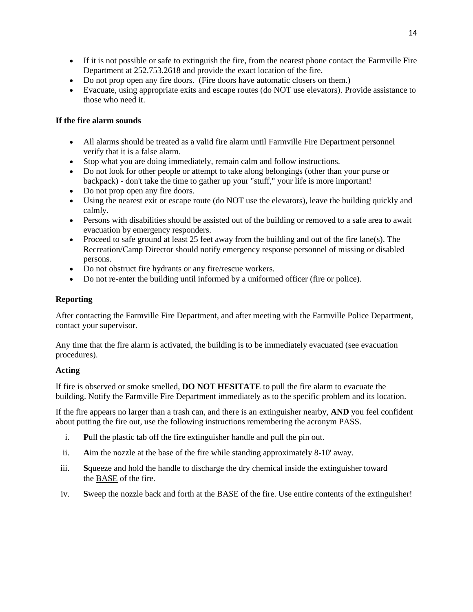- If it is not possible or safe to extinguish the fire, from the nearest phone contact the Farmville Fire Department at 252.753.2618 and provide the exact location of the fire.
- Do not prop open any fire doors. (Fire doors have automatic closers on them.)
- Evacuate, using appropriate exits and escape routes (do NOT use elevators). Provide assistance to those who need it.

## **If the fire alarm sounds**

- All alarms should be treated as a valid fire alarm until Farmville Fire Department personnel verify that it is a false alarm.
- Stop what you are doing immediately, remain calm and follow instructions.
- Do not look for other people or attempt to take along belongings (other than your purse or backpack) - don't take the time to gather up your "stuff," your life is more important!
- Do not prop open any fire doors.
- Using the nearest exit or escape route (do NOT use the elevators), leave the building quickly and calmly.
- Persons with disabilities should be assisted out of the building or removed to a safe area to await evacuation by emergency responders.
- Proceed to safe ground at least 25 feet away from the building and out of the fire lane(s). The Recreation/Camp Director should notify emergency response personnel of missing or disabled persons.
- Do not obstruct fire hydrants or any fire/rescue workers.
- Do not re-enter the building until informed by a uniformed officer (fire or police).

## **Reporting**

After contacting the Farmville Fire Department, and after meeting with the Farmville Police Department, contact your supervisor.

Any time that the fire alarm is activated, the building is to be immediately evacuated (see evacuation procedures).

### **Acting**

If fire is observed or smoke smelled, **DO NOT HESITATE** to pull the fire alarm to evacuate the building. Notify the Farmville Fire Department immediately as to the specific problem and its location.

If the fire appears no larger than a trash can, and there is an extinguisher nearby, **AND** you feel confident about putting the fire out, use the following instructions remembering the acronym PASS.

- i. **P**ull the plastic tab off the fire extinguisher handle and pull the pin out.
- ii. **A**im the nozzle at the base of the fire while standing approximately 8-10' away.
- iii. **S**queeze and hold the handle to discharge the dry chemical inside the extinguisher toward the BASE of the fire.
- iv. **S**weep the nozzle back and forth at the BASE of the fire. Use entire contents of the extinguisher!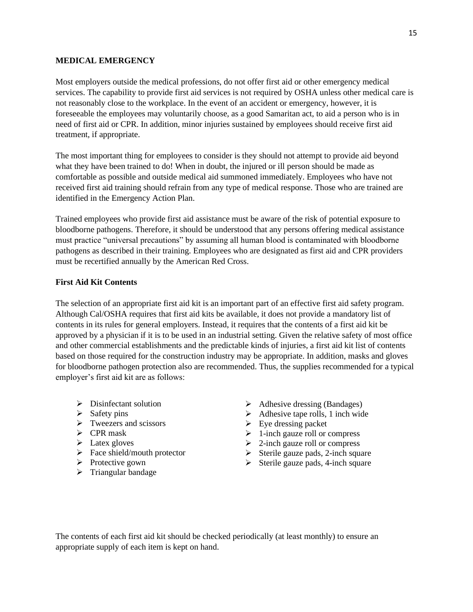#### **MEDICAL EMERGENCY**

Most employers outside the medical professions, do not offer first aid or other emergency medical services. The capability to provide first aid services is not required by OSHA unless other medical care is not reasonably close to the workplace. In the event of an accident or emergency, however, it is foreseeable the employees may voluntarily choose, as a good Samaritan act, to aid a person who is in need of first aid or CPR. In addition, minor injuries sustained by employees should receive first aid treatment, if appropriate.

The most important thing for employees to consider is they should not attempt to provide aid beyond what they have been trained to do! When in doubt, the injured or ill person should be made as comfortable as possible and outside medical aid summoned immediately. Employees who have not received first aid training should refrain from any type of medical response. Those who are trained are identified in the Emergency Action Plan.

Trained employees who provide first aid assistance must be aware of the risk of potential exposure to bloodborne pathogens. Therefore, it should be understood that any persons offering medical assistance must practice "universal precautions" by assuming all human blood is contaminated with bloodborne pathogens as described in their training. Employees who are designated as first aid and CPR providers must be recertified annually by the American Red Cross.

## **First Aid Kit Contents**

The selection of an appropriate first aid kit is an important part of an effective first aid safety program. Although Cal/OSHA requires that first aid kits be available, it does not provide a mandatory list of contents in its rules for general employers. Instead, it requires that the contents of a first aid kit be approved by a physician if it is to be used in an industrial setting. Given the relative safety of most office and other commercial establishments and the predictable kinds of injuries, a first aid kit list of contents based on those required for the construction industry may be appropriate. In addition, masks and gloves for bloodborne pathogen protection also are recommended. Thus, the supplies recommended for a typical employer's first aid kit are as follows:

- ➢ Disinfectant solution
- $\triangleright$  Safety pins
- $\triangleright$  Tweezers and scissors
- ➢ CPR mask
- ➢ Latex gloves
- $\triangleright$  Face shield/mouth protector
- ➢ Protective gown
- ➢ Triangular bandage
- $\triangleright$  Adhesive dressing (Bandages)
- $\triangleright$  Adhesive tape rolls, 1 inch wide
- $\triangleright$  Eye dressing packet
- $\triangleright$  1-inch gauze roll or compress
- $\geq$  2-inch gauze roll or compress
- $\triangleright$  Sterile gauze pads, 2-inch square
- $\triangleright$  Sterile gauze pads, 4-inch square

The contents of each first aid kit should be checked periodically (at least monthly) to ensure an appropriate supply of each item is kept on hand.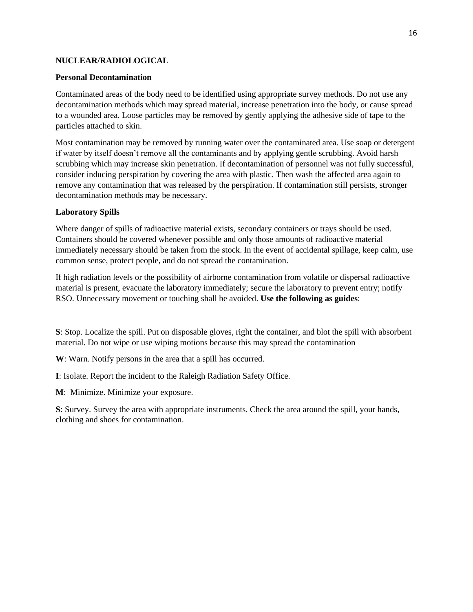### **NUCLEAR/RADIOLOGICAL**

#### **Personal Decontamination**

Contaminated areas of the body need to be identified using appropriate survey methods. Do not use any decontamination methods which may spread material, increase penetration into the body, or cause spread to a wounded area. Loose particles may be removed by gently applying the adhesive side of tape to the particles attached to skin.

Most contamination may be removed by running water over the contaminated area. Use soap or detergent if water by itself doesn't remove all the contaminants and by applying gentle scrubbing. Avoid harsh scrubbing which may increase skin penetration. If decontamination of personnel was not fully successful, consider inducing perspiration by covering the area with plastic. Then wash the affected area again to remove any contamination that was released by the perspiration. If contamination still persists, stronger decontamination methods may be necessary.

### **Laboratory Spills**

Where danger of spills of radioactive material exists, secondary containers or trays should be used. Containers should be covered whenever possible and only those amounts of radioactive material immediately necessary should be taken from the stock. In the event of accidental spillage, keep calm, use common sense, protect people, and do not spread the contamination.

If high radiation levels or the possibility of airborne contamination from volatile or dispersal radioactive material is present, evacuate the laboratory immediately; secure the laboratory to prevent entry; notify RSO. Unnecessary movement or touching shall be avoided. **Use the following as guides**:

**S**: Stop. Localize the spill. Put on disposable gloves, right the container, and blot the spill with absorbent material. Do not wipe or use wiping motions because this may spread the contamination

**W**: Warn. Notify persons in the area that a spill has occurred.

**I**: Isolate. Report the incident to the Raleigh Radiation Safety Office.

**M**: Minimize. Minimize your exposure.

**S**: Survey. Survey the area with appropriate instruments. Check the area around the spill, your hands, clothing and shoes for contamination.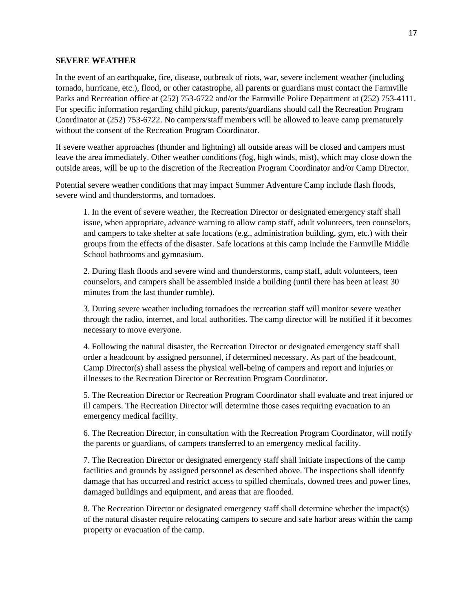#### **SEVERE WEATHER**

In the event of an earthquake, fire, disease, outbreak of riots, war, severe inclement weather (including tornado, hurricane, etc.), flood, or other catastrophe, all parents or guardians must contact the Farmville Parks and Recreation office at (252) 753-6722 and/or the Farmville Police Department at (252) 753-4111. For specific information regarding child pickup, parents/guardians should call the Recreation Program Coordinator at (252) 753-6722. No campers/staff members will be allowed to leave camp prematurely without the consent of the Recreation Program Coordinator.

If severe weather approaches (thunder and lightning) all outside areas will be closed and campers must leave the area immediately. Other weather conditions (fog, high winds, mist), which may close down the outside areas, will be up to the discretion of the Recreation Program Coordinator and/or Camp Director.

Potential severe weather conditions that may impact Summer Adventure Camp include flash floods, severe wind and thunderstorms, and tornadoes.

1. In the event of severe weather, the Recreation Director or designated emergency staff shall issue, when appropriate, advance warning to allow camp staff, adult volunteers, teen counselors, and campers to take shelter at safe locations (e.g., administration building, gym, etc.) with their groups from the effects of the disaster. Safe locations at this camp include the Farmville Middle School bathrooms and gymnasium.

2. During flash floods and severe wind and thunderstorms, camp staff, adult volunteers, teen counselors, and campers shall be assembled inside a building (until there has been at least 30 minutes from the last thunder rumble).

3. During severe weather including tornadoes the recreation staff will monitor severe weather through the radio, internet, and local authorities. The camp director will be notified if it becomes necessary to move everyone.

4. Following the natural disaster, the Recreation Director or designated emergency staff shall order a headcount by assigned personnel, if determined necessary. As part of the headcount, Camp Director(s) shall assess the physical well-being of campers and report and injuries or illnesses to the Recreation Director or Recreation Program Coordinator.

5. The Recreation Director or Recreation Program Coordinator shall evaluate and treat injured or ill campers. The Recreation Director will determine those cases requiring evacuation to an emergency medical facility.

6. The Recreation Director, in consultation with the Recreation Program Coordinator, will notify the parents or guardians, of campers transferred to an emergency medical facility.

7. The Recreation Director or designated emergency staff shall initiate inspections of the camp facilities and grounds by assigned personnel as described above. The inspections shall identify damage that has occurred and restrict access to spilled chemicals, downed trees and power lines, damaged buildings and equipment, and areas that are flooded.

8. The Recreation Director or designated emergency staff shall determine whether the impact(s) of the natural disaster require relocating campers to secure and safe harbor areas within the camp property or evacuation of the camp.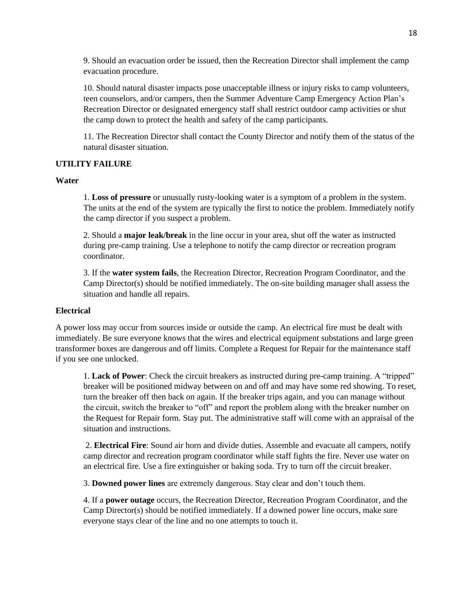9. Should an evacuation order be issued, then the Recreation Director shall implement the camp evacuation procedure.

10. Should natural disaster impacts pose unacceptable illness or injury risks to camp volunteers, teen counselors, and/or campers, then the Summer Adventure Camp Emergency Action Plan's Recreation Director or designated emergency staff shall restrict outdoor camp activities or shut the camp down to protect the health and safety of the camp participants.

11. The Recreation Director shall contact the County Director and notify them of the status of the natural disaster situation.

### **UTILITY FAILURE**

#### **Water**

1. **Loss of pressure** or unusually rusty-looking water is a symptom of a problem in the system. The units at the end of the system are typically the first to notice the problem. Immediately notify the camp director if you suspect a problem.

2. Should a **major leak/break** in the line occur in your area, shut off the water as instructed during pre-camp training. Use a telephone to notify the camp director or recreation program coordinator.

3. If the **water system fails**, the Recreation Director, Recreation Program Coordinator, and the Camp Director(s) should be notified immediately. The on-site building manager shall assess the situation and handle all repairs.

### **Electrical**

A power loss may occur from sources inside or outside the camp. An electrical fire must be dealt with immediately. Be sure everyone knows that the wires and electrical equipment substations and large green transformer boxes are dangerous and off limits. Complete a Request for Repair for the maintenance staff if you see one unlocked.

1. **Lack of Power**: Check the circuit breakers as instructed during pre-camp training. A "tripped" breaker will be positioned midway between on and off and may have some red showing. To reset, turn the breaker off then back on again. If the breaker trips again, and you can manage without the circuit, switch the breaker to "off" and report the problem along with the breaker number on the Request for Repair form. Stay put. The administrative staff will come with an appraisal of the situation and instructions.

2. **Electrical Fire**: Sound air horn and divide duties. Assemble and evacuate all campers, notify camp director and recreation program coordinator while staff fights the fire. Never use water on an electrical fire. Use a fire extinguisher or baking soda. Try to turn off the circuit breaker.

3. **Downed power lines** are extremely dangerous. Stay clear and don't touch them.

4. If a **power outage** occurs, the Recreation Director, Recreation Program Coordinator, and the Camp Director(s) should be notified immediately. If a downed power line occurs, make sure everyone stays clear of the line and no one attempts to touch it.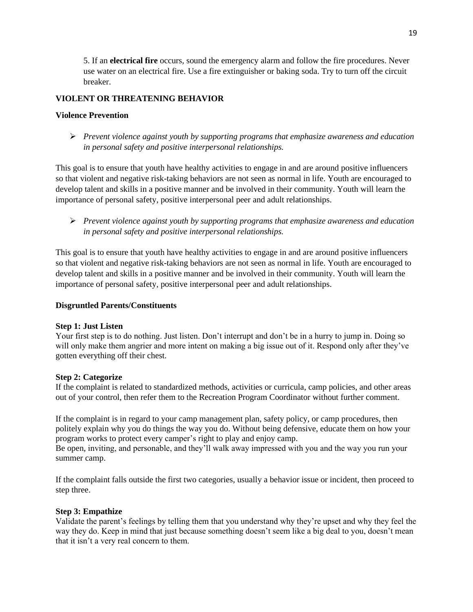5. If an **electrical fire** occurs, sound the emergency alarm and follow the fire procedures. Never use water on an electrical fire. Use a fire extinguisher or baking soda. Try to turn off the circuit breaker.

## **VIOLENT OR THREATENING BEHAVIOR**

## **Violence Prevention**

➢ *Prevent violence against youth by supporting programs that emphasize awareness and education in personal safety and positive interpersonal relationships.*

This goal is to ensure that youth have healthy activities to engage in and are around positive influencers so that violent and negative risk-taking behaviors are not seen as normal in life. Youth are encouraged to develop talent and skills in a positive manner and be involved in their community. Youth will learn the importance of personal safety, positive interpersonal peer and adult relationships.

➢ *Prevent violence against youth by supporting programs that emphasize awareness and education in personal safety and positive interpersonal relationships.*

This goal is to ensure that youth have healthy activities to engage in and are around positive influencers so that violent and negative risk-taking behaviors are not seen as normal in life. Youth are encouraged to develop talent and skills in a positive manner and be involved in their community. Youth will learn the importance of personal safety, positive interpersonal peer and adult relationships.

## **Disgruntled Parents/Constituents**

### **Step 1: Just Listen**

Your first step is to do nothing. Just listen. Don't interrupt and don't be in a hurry to jump in. Doing so will only make them angrier and more intent on making a big issue out of it. Respond only after they've gotten everything off their chest.

### **Step 2: Categorize**

If the complaint is related to standardized methods, activities or curricula, camp policies, and other areas out of your control, then refer them to the Recreation Program Coordinator without further comment.

If the complaint is in regard to your camp management plan, safety policy, or camp procedures, then politely explain why you do things the way you do. Without being defensive, educate them on how your program works to protect every camper's right to play and enjoy camp.

Be open, inviting, and personable, and they'll walk away impressed with you and the way you run your summer camp.

If the complaint falls outside the first two categories, usually a behavior issue or incident, then proceed to step three.

### **Step 3: Empathize**

Validate the parent's feelings by telling them that you understand why they're upset and why they feel the way they do. Keep in mind that just because something doesn't seem like a big deal to you, doesn't mean that it isn't a very real concern to them.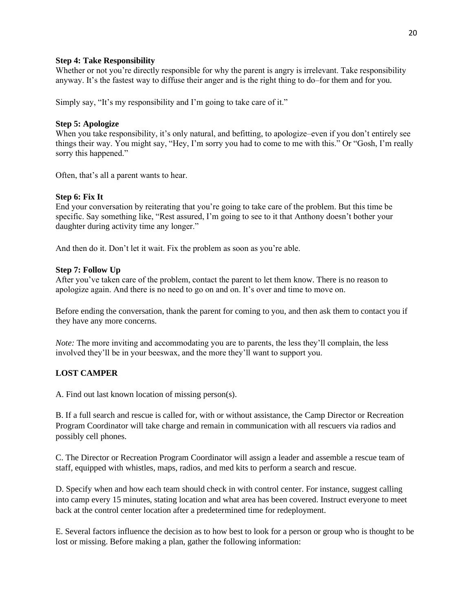### **Step 4: Take Responsibility**

Whether or not you're directly responsible for why the parent is angry is irrelevant. Take responsibility anyway. It's the fastest way to diffuse their anger and is the right thing to do–for them and for you.

Simply say, "It's my responsibility and I'm going to take care of it."

### **Step 5: Apologize**

When you take responsibility, it's only natural, and befitting, to apologize–even if you don't entirely see things their way. You might say, "Hey, I'm sorry you had to come to me with this." Or "Gosh, I'm really sorry this happened."

Often, that's all a parent wants to hear.

## **Step 6: Fix It**

End your conversation by reiterating that you're going to take care of the problem. But this time be specific. Say something like, "Rest assured, I'm going to see to it that Anthony doesn't bother your daughter during activity time any longer."

And then do it. Don't let it wait. Fix the problem as soon as you're able.

## **Step 7: Follow Up**

After you've taken care of the problem, contact the parent to let them know. There is no reason to apologize again. And there is no need to go on and on. It's over and time to move on.

Before ending the conversation, thank the parent for coming to you, and then ask them to contact you if they have any more concerns.

*Note:* The more inviting and accommodating you are to parents, the less they'll complain, the less involved they'll be in your beeswax, and the more they'll want to support you.

# **LOST CAMPER**

A. Find out last known location of missing person(s).

B. If a full search and rescue is called for, with or without assistance, the Camp Director or Recreation Program Coordinator will take charge and remain in communication with all rescuers via radios and possibly cell phones.

C. The Director or Recreation Program Coordinator will assign a leader and assemble a rescue team of staff, equipped with whistles, maps, radios, and med kits to perform a search and rescue.

D. Specify when and how each team should check in with control center. For instance, suggest calling into camp every 15 minutes, stating location and what area has been covered. Instruct everyone to meet back at the control center location after a predetermined time for redeployment.

E. Several factors influence the decision as to how best to look for a person or group who is thought to be lost or missing. Before making a plan, gather the following information: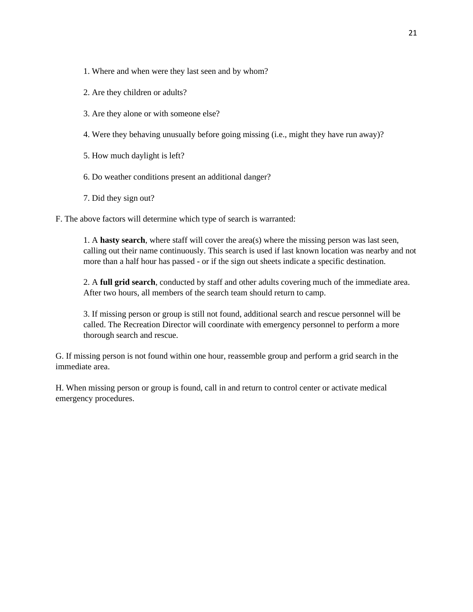- 1. Where and when were they last seen and by whom?
- 2. Are they children or adults?
- 3. Are they alone or with someone else?
- 4. Were they behaving unusually before going missing (i.e., might they have run away)?
- 5. How much daylight is left?
- 6. Do weather conditions present an additional danger?
- 7. Did they sign out?

F. The above factors will determine which type of search is warranted:

1. A **hasty search**, where staff will cover the area(s) where the missing person was last seen, calling out their name continuously. This search is used if last known location was nearby and not more than a half hour has passed - or if the sign out sheets indicate a specific destination.

2. A **full grid search**, conducted by staff and other adults covering much of the immediate area. After two hours, all members of the search team should return to camp.

3. If missing person or group is still not found, additional search and rescue personnel will be called. The Recreation Director will coordinate with emergency personnel to perform a more thorough search and rescue.

G. If missing person is not found within one hour, reassemble group and perform a grid search in the immediate area.

H. When missing person or group is found, call in and return to control center or activate medical emergency procedures.